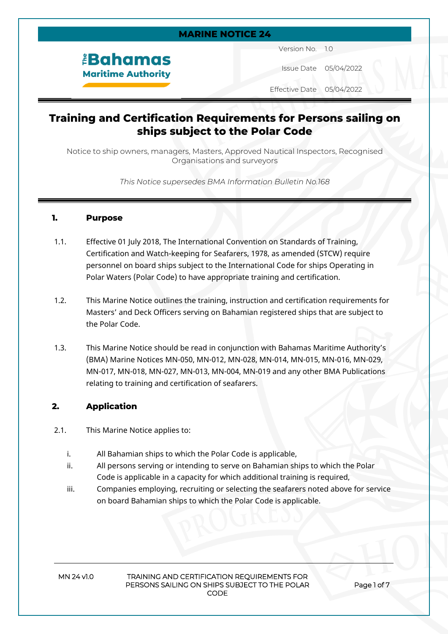#### **MARINE NOTICE 24**

# *<u><b>EBahamas</u>* **Maritime Authority**

Version No. 1.0

Issue Date 05/04/2022

Effective Date 05/04/2022

# **Training and Certification Requirements for Persons sailing on ships subject to the Polar Code**

Notice to ship owners, managers, Masters, Approved Nautical Inspectors, Recognised Organisations and surveyors

*This Notice supersedes BMA Information Bulletin No.168*

#### **1. Purpose**

- 1.1. Effective 01 July 2018, The International Convention on Standards of Training, Certification and Watch-keeping for Seafarers, 1978, as amended (STCW) require personnel on board ships subject to the International Code for ships Operating in Polar Waters (Polar Code) to have appropriate training and certification.
- 1.2. This Marine Notice outlines the training, instruction and certification requirements for Masters' and Deck Officers serving on Bahamian registered ships that are subject to the Polar Code.
- 1.3. This Marine Notice should be read in conjunction with Bahamas Maritime Authority's (BMA) Marine Notices MN-050, MN-012, MN-028, MN-014, MN-015, MN-016, MN-029, MN-017, MN-018, MN-027, MN-013, MN-004, MN-019 and any other BMA Publications relating to training and certification of seafarers.

#### **2. Application**

- 2.1. This Marine Notice applies to:
	- i. All Bahamian ships to which the Polar Code is applicable,
	- ii. All persons serving or intending to serve on Bahamian ships to which the Polar Code is applicable in a capacity for which additional training is required,
	- iii. Companies employing, recruiting or selecting the seafarers noted above for service on board Bahamian ships to which the Polar Code is applicable.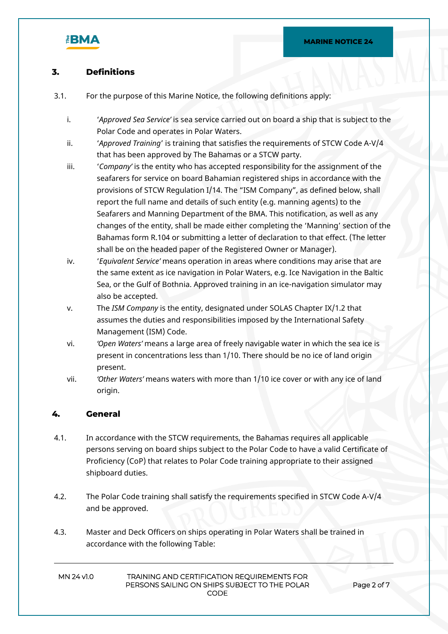

## **3. Definitions**

- 3.1. For the purpose of this Marine Notice, the following definitions apply:
	- i. '*Approved Sea Service'* is sea service carried out on board a ship that is subject to the Polar Code and operates in Polar Waters.
	- ii. '*Approved Training*' is training that satisfies the requirements of STCW Code A-V/4 that has been approved by The Bahamas or a STCW party.
	- iii. '*Company'* is the entity who has accepted responsibility for the assignment of the seafarers for service on board Bahamian registered ships in accordance with the provisions of STCW Regulation I/14. The "ISM Company", as defined below, shall report the full name and details of such entity (e.g. manning agents) to the Seafarers and Manning Department of the BMA. This notification, as well as any changes of the entity, shall be made either completing the 'Manning' section of the Bahamas form R.104 or submitting a letter of declaration to that effect. (The letter shall be on the headed paper of the Registered Owner or Manager).
	- iv. '*Equivalent Service'* means operation in areas where conditions may arise that are the same extent as ice navigation in Polar Waters, e.g. Ice Navigation in the Baltic Sea, or the Gulf of Bothnia. Approved training in an ice-navigation simulator may also be accepted.
	- v. The *ISM Company* is the entity, designated under SOLAS Chapter IX/1.2 that assumes the duties and responsibilities imposed by the International Safety Management (ISM) Code.
	- vi. *'Open Waters'* means a large area of freely navigable water in which the sea ice is present in concentrations less than 1/10. There should be no ice of land origin present.
	- vii. *'Other Waters'* means waters with more than 1/10 ice cover or with any ice of land origin.

#### **4. General**

- 4.1. In accordance with the STCW requirements, the Bahamas requires all applicable persons serving on board ships subject to the Polar Code to have a valid Certificate of Proficiency (CoP) that relates to Polar Code training appropriate to their assigned shipboard duties.
- 4.2. The Polar Code training shall satisfy the requirements specified in STCW Code A-V/4 and be approved.
- 4.3. Master and Deck Officers on ships operating in Polar Waters shall be trained in accordance with the following Table: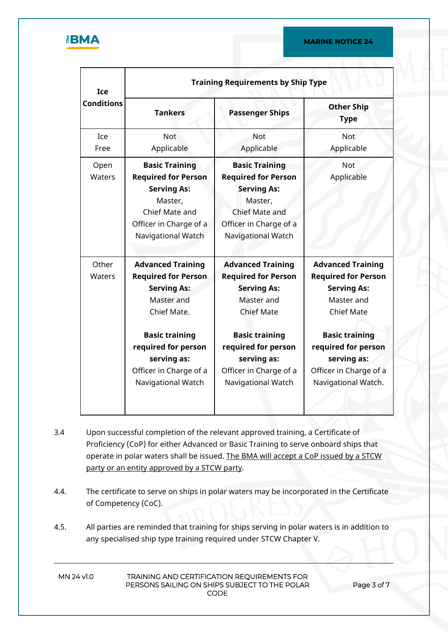

| Ice<br><b>Conditions</b> | <b>Training Requirements by Ship Type</b>                                                                                                                                                                                |                                                                                                                                                                                                                                |                                                                                                                                                                                                                                 |  |
|--------------------------|--------------------------------------------------------------------------------------------------------------------------------------------------------------------------------------------------------------------------|--------------------------------------------------------------------------------------------------------------------------------------------------------------------------------------------------------------------------------|---------------------------------------------------------------------------------------------------------------------------------------------------------------------------------------------------------------------------------|--|
|                          | <b>Tankers</b>                                                                                                                                                                                                           | <b>Passenger Ships</b>                                                                                                                                                                                                         | <b>Other Ship</b><br><b>Type</b>                                                                                                                                                                                                |  |
| Ice<br>Free              | <b>Not</b><br>Applicable                                                                                                                                                                                                 | Not<br>Applicable                                                                                                                                                                                                              | <b>Not</b><br>Applicable                                                                                                                                                                                                        |  |
| Open<br>Waters           | <b>Basic Training</b><br><b>Required for Person</b><br><b>Serving As:</b><br>Master,<br>Chief Mate and<br>Officer in Charge of a<br>Navigational Watch                                                                   | <b>Basic Training</b><br><b>Required for Person</b><br><b>Serving As:</b><br>Master,<br>Chief Mate and<br>Officer in Charge of a<br>Navigational Watch                                                                         | <b>Not</b><br>Applicable                                                                                                                                                                                                        |  |
| Other<br><b>Waters</b>   | <b>Advanced Training</b><br><b>Required for Person</b><br><b>Serving As:</b><br>Master and<br>Chief Mate.<br><b>Basic training</b><br>required for person<br>serving as:<br>Officer in Charge of a<br>Navigational Watch | <b>Advanced Training</b><br><b>Required for Person</b><br><b>Serving As:</b><br>Master and<br><b>Chief Mate</b><br><b>Basic training</b><br>required for person<br>serving as:<br>Officer in Charge of a<br>Navigational Watch | <b>Advanced Training</b><br><b>Required for Person</b><br><b>Serving As:</b><br>Master and<br><b>Chief Mate</b><br><b>Basic training</b><br>required for person<br>serving as:<br>Officer in Charge of a<br>Navigational Watch. |  |

- 3.4 Upon successful completion of the relevant approved training, a Certificate of Proficiency (CoP) for either Advanced or Basic Training to serve onboard ships that operate in polar waters shall be issued. The BMA will accept a CoP issued by a STCW party or an entity approved by a STCW party.
- 4.4. The certificate to serve on ships in polar waters may be incorporated in the Certificate of Competency (CoC).
- 4.5. All parties are reminded that training for ships serving in polar waters is in addition to any specialised ship type training required under STCW Chapter V.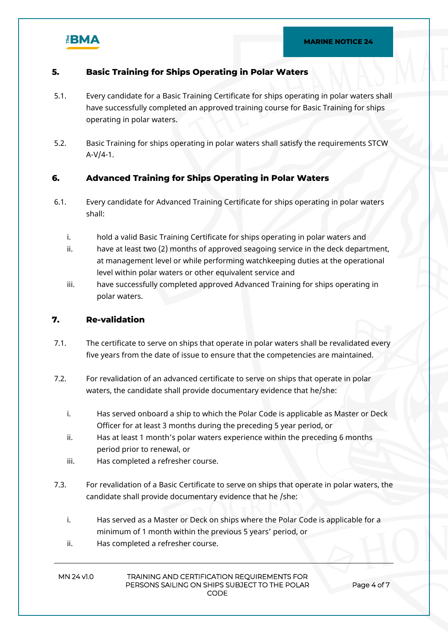

#### **5. Basic Training for Ships Operating in Polar Waters**

- 5.1. Every candidate for a Basic Training Certificate for ships operating in polar waters shall have successfully completed an approved training course for Basic Training for ships operating in polar waters.
- 5.2. Basic Training for ships operating in polar waters shall satisfy the requirements STCW  $A-V/4-1.$

#### **6. Advanced Training for Ships Operating in Polar Waters**

- 6.1. Every candidate for Advanced Training Certificate for ships operating in polar waters shall:
	- i. hold a valid Basic Training Certificate for ships operating in polar waters and
	- ii. have at least two (2) months of approved seagoing service in the deck department, at management level or while performing watchkeeping duties at the operational level within polar waters or other equivalent service and
	- iii. have successfully completed approved Advanced Training for ships operating in polar waters.

#### **7. Re-validation**

- 7.1. The certificate to serve on ships that operate in polar waters shall be revalidated every five years from the date of issue to ensure that the competencies are maintained.
- 7.2. For revalidation of an advanced certificate to serve on ships that operate in polar waters, the candidate shall provide documentary evidence that he/she:
	- i. Has served onboard a ship to which the Polar Code is applicable as Master or Deck Officer for at least 3 months during the preceding 5 year period, or
	- ii. Has at least 1 month's polar waters experience within the preceding 6 months period prior to renewal, or
	- iii. Has completed a refresher course.
- 7.3. For revalidation of a Basic Certificate to serve on ships that operate in polar waters, the candidate shall provide documentary evidence that he /she:
	- i. Has served as a Master or Deck on ships where the Polar Code is applicable for a minimum of 1 month within the previous 5 years' period, or
	- ii. Has completed a refresher course.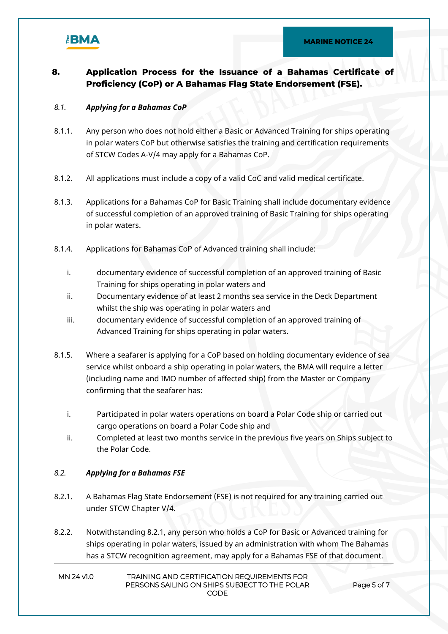

## **8. Application Process for the Issuance of a Bahamas Certificate of Proficiency (CoP) or A Bahamas Flag State Endorsement (FSE).**

#### *8.1. Applying for a Bahamas CoP*

- 8.1.1. Any person who does not hold either a Basic or Advanced Training for ships operating in polar waters CoP but otherwise satisfies the training and certification requirements of STCW Codes A-V/4 may apply for a Bahamas CoP.
- 8.1.2. All applications must include a copy of a valid CoC and valid medical certificate.
- 8.1.3. Applications for a Bahamas CoP for Basic Training shall include documentary evidence of successful completion of an approved training of Basic Training for ships operating in polar waters.
- 8.1.4. Applications for Bahamas CoP of Advanced training shall include:
	- i. documentary evidence of successful completion of an approved training of Basic Training for ships operating in polar waters and
	- ii. Documentary evidence of at least 2 months sea service in the Deck Department whilst the ship was operating in polar waters and
	- iii. documentary evidence of successful completion of an approved training of Advanced Training for ships operating in polar waters.
- 8.1.5. Where a seafarer is applying for a CoP based on holding documentary evidence of sea service whilst onboard a ship operating in polar waters, the BMA will require a letter (including name and IMO number of affected ship) from the Master or Company confirming that the seafarer has:
	- i. Participated in polar waters operations on board a Polar Code ship or carried out cargo operations on board a Polar Code ship and
	- ii. Completed at least two months service in the previous five years on Ships subject to the Polar Code.

#### *8.2. Applying for a Bahamas FSE*

- 8.2.1. A Bahamas Flag State Endorsement (FSE) is not required for any training carried out under STCW Chapter V/4.
- 8.2.2. Notwithstanding 8.2.1, any person who holds a CoP for Basic or Advanced training for ships operating in polar waters, issued by an administration with whom The Bahamas has a STCW recognition agreement, may apply for a Bahamas FSE of that document.
- **MN 24 v1.0 TRAINING AND CERTIFICATION REQUIREMENTS FOR PERSONS SAILING ON SHIPS SUBJECT TO THE POLAR CODE**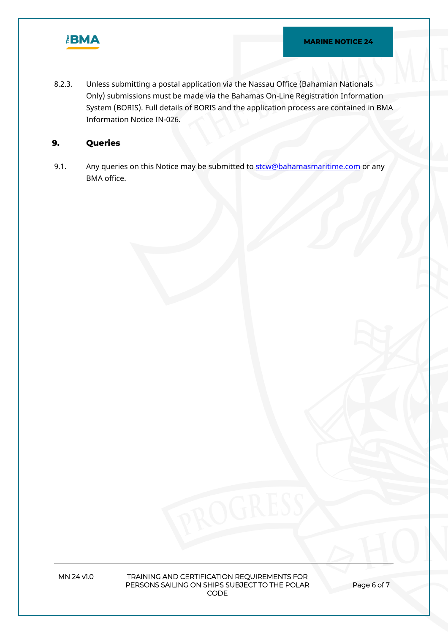

8.2.3. Unless submitting a postal application via the Nassau Office (Bahamian Nationals Only) submissions must be made via the Bahamas On-Line Registration Information System (BORIS). Full details of BORIS and the application process are contained in BMA Information Notice IN-026.

## **9. Queries**

9.1. Any queries on this Notice may be submitted to stor Chahamas maritime.com or any BMA office.